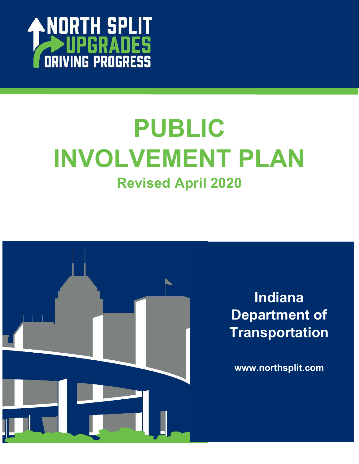

# **PUBLIC INVOLVEMENT PLAN Revised April 2020**

ׇ֚֬

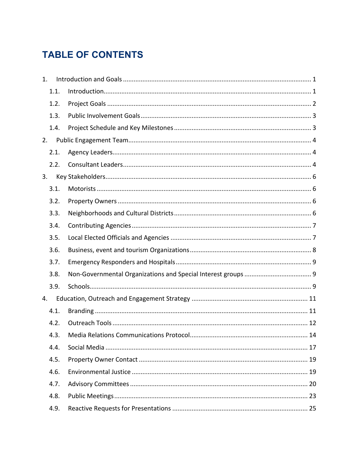# **TABLE OF CONTENTS**

| 1.   |  |
|------|--|
| 1.1. |  |
| 1.2. |  |
| 1.3. |  |
| 1.4. |  |
| 2.   |  |
| 2.1. |  |
| 2.2. |  |
| 3.   |  |
| 3.1. |  |
| 3.2. |  |
| 3.3. |  |
| 3.4. |  |
| 3.5. |  |
| 3.6. |  |
| 3.7. |  |
| 3.8. |  |
| 3.9. |  |
| 4.   |  |
| 4.1. |  |
| 4.2. |  |
| 4.3. |  |
| 4.4. |  |
| 4.5. |  |
| 4.6. |  |
| 4.7. |  |
| 4.8. |  |
| 4.9. |  |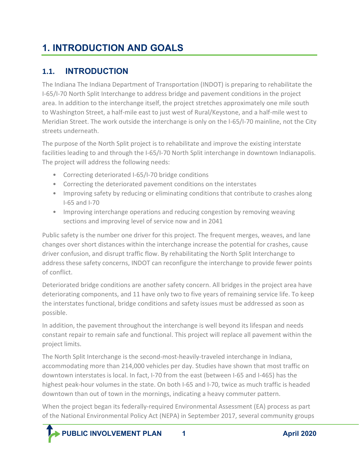# <span id="page-3-0"></span>**1. INTRODUCTION AND GOALS**

## <span id="page-3-1"></span>**1.1. INTRODUCTION**

The Indiana The Indiana Department of Transportation (INDOT) is preparing to rehabilitate the I-65/I-70 North Split Interchange to address bridge and pavement conditions in the project area. In addition to the interchange itself, the project stretches approximately one mile south to Washington Street, a half-mile east to just west of Rural/Keystone, and a half-mile west to Meridian Street. The work outside the interchange is only on the I-65/I-70 mainline, not the City streets underneath.

The purpose of the North Split project is to rehabilitate and improve the existing interstate facilities leading to and through the I-65/I-70 North Split interchange in downtown Indianapolis. The project will address the following needs:

- Correcting deteriorated I-65/I-70 bridge conditions
- Correcting the deteriorated pavement conditions on the interstates
- Improving safety by reducing or eliminating conditions that contribute to crashes along I-65 and I-70
- Improving interchange operations and reducing congestion by removing weaving sections and improving level of service now and in 2041

Public safety is the number one driver for this project. The frequent merges, weaves, and lane changes over short distances within the interchange increase the potential for crashes, cause driver confusion, and disrupt traffic flow. By rehabilitating the North Split Interchange to address these safety concerns, INDOT can reconfigure the interchange to provide fewer points of conflict.

Deteriorated bridge conditions are another safety concern. All bridges in the project area have deteriorating components, and 11 have only two to five years of remaining service life. To keep the interstates functional, bridge conditions and safety issues must be addressed as soon as possible.

In addition, the pavement throughout the interchange is well beyond its lifespan and needs constant repair to remain safe and functional. This project will replace all pavement within the project limits.

The North Split Interchange is the second-most-heavily-traveled interchange in Indiana, accommodating more than 214,000 vehicles per day. Studies have shown that most traffic on downtown interstates is local. In fact, I-70 from the east (between I-65 and I-465) has the highest peak-hour volumes in the state. On both I-65 and I-70, twice as much traffic is headed downtown than out of town in the mornings, indicating a heavy commuter pattern.

When the project began its federally-required Environmental Assessment (EA) process as part of the National Environmental Policy Act (NEPA) in September 2017, several community groups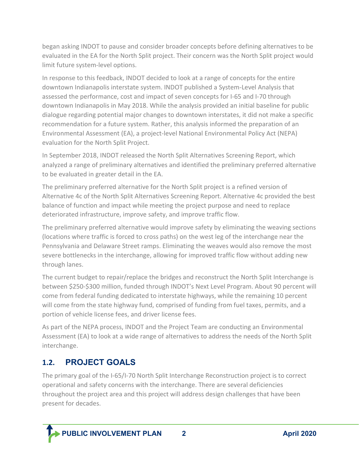began asking INDOT to pause and consider broader concepts before defining alternatives to be evaluated in the EA for the North Split project. Their concern was the North Split project would limit future system-level options.

In response to this feedback, INDOT decided to look at a range of concepts for the entire downtown Indianapolis interstate system. INDOT published a System-Level Analysis that assessed the performance, cost and impact of seven concepts for I-65 and I-70 through downtown Indianapolis in May 2018. While the analysis provided an initial baseline for public dialogue regarding potential major changes to downtown interstates, it did not make a specific recommendation for a future system. Rather, this analysis informed the preparation of an Environmental Assessment (EA), a project-level National Environmental Policy Act (NEPA) evaluation for the North Split Project.

In September 2018, INDOT released the North Split Alternatives Screening Report, which analyzed a range of preliminary alternatives and identified the preliminary preferred alternative to be evaluated in greater detail in the EA.

The preliminary preferred alternative for the North Split project is a refined version of Alternative 4c of the North Split Alternatives Screening Report. Alternative 4c provided the best balance of function and impact while meeting the project purpose and need to replace deteriorated infrastructure, improve safety, and improve traffic flow.

The preliminary preferred alternative would improve safety by eliminating the weaving sections (locations where traffic is forced to cross paths) on the west leg of the interchange near the Pennsylvania and Delaware Street ramps. Eliminating the weaves would also remove the most severe bottlenecks in the interchange, allowing for improved traffic flow without adding new through lanes.

The current budget to repair/replace the bridges and reconstruct the North Split Interchange is between \$250-\$300 million, funded through INDOT's Next Level Program. About 90 percent will come from federal funding dedicated to interstate highways, while the remaining 10 percent will come from the state highway fund, comprised of funding from fuel taxes, permits, and a portion of vehicle license fees, and driver license fees.

As part of the NEPA process, INDOT and the Project Team are conducting an Environmental Assessment (EA) to look at a wide range of alternatives to address the needs of the North Split interchange.

## <span id="page-4-0"></span>**1.2. PROJECT GOALS**

j

The primary goal of the I-65/I-70 North Split Interchange Reconstruction project is to correct operational and safety concerns with the interchange. There are several deficiencies throughout the project area and this project will address design challenges that have been present for decades.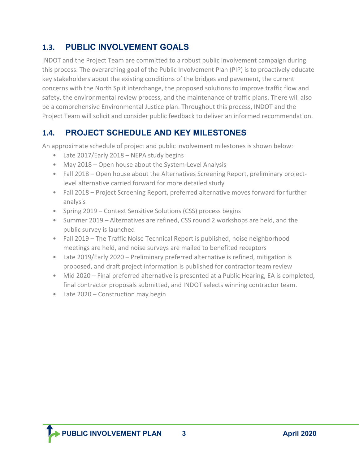## <span id="page-5-0"></span>**1.3. PUBLIC INVOLVEMENT GOALS**

INDOT and the Project Team are committed to a robust public involvement campaign during this process. The overarching goal of the Public Involvement Plan (PIP) is to proactively educate key stakeholders about the existing conditions of the bridges and pavement, the current concerns with the North Split interchange, the proposed solutions to improve traffic flow and safety, the environmental review process, and the maintenance of traffic plans. There will also be a comprehensive Environmental Justice plan. Throughout this process, INDOT and the Project Team will solicit and consider public feedback to deliver an informed recommendation.

## <span id="page-5-1"></span>**1.4. PROJECT SCHEDULE AND KEY MILESTONES**

An approximate schedule of project and public involvement milestones is shown below:

- Late 2017/Early 2018 NEPA study begins
- May 2018 Open house about the System-Level Analysis
- Fall 2018 Open house about the Alternatives Screening Report, preliminary projectlevel alternative carried forward for more detailed study
- Fall 2018 Project Screening Report, preferred alternative moves forward for further analysis
- Spring 2019 Context Sensitive Solutions (CSS) process begins
- Summer 2019 Alternatives are refined, CSS round 2 workshops are held, and the public survey is launched
- Fall 2019 The Traffic Noise Technical Report is published, noise neighborhood meetings are held, and noise surveys are mailed to benefited receptors
- Late 2019/Early 2020 Preliminary preferred alternative is refined, mitigation is proposed, and draft project information is published for contractor team review
- Mid 2020 Final preferred alternative is presented at a Public Hearing, EA is completed, final contractor proposals submitted, and INDOT selects winning contractor team.
- Late 2020 Construction may begin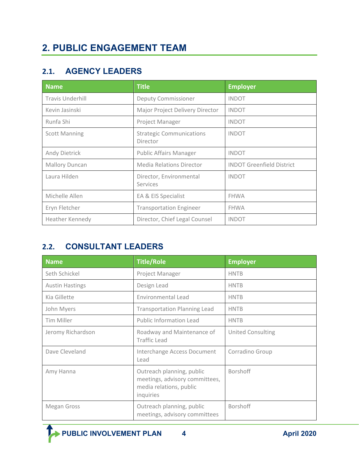## <span id="page-6-1"></span><span id="page-6-0"></span>**2.1. AGENCY LEADERS**

| <b>Name</b>             | <b>Title</b>                                | <b>Employer</b>                  |
|-------------------------|---------------------------------------------|----------------------------------|
| <b>Travis Underhill</b> | <b>Deputy Commissioner</b>                  | <b>INDOT</b>                     |
| Kevin Jasinski          | Major Project Delivery Director             | <b>INDOT</b>                     |
| Runfa Shi               | Project Manager                             | <b>INDOT</b>                     |
| <b>Scott Manning</b>    | <b>Strategic Communications</b><br>Director | <b>INDOT</b>                     |
| Andy Dietrick           | <b>Public Affairs Manager</b>               | <b>INDOT</b>                     |
| <b>Mallory Duncan</b>   | Media Relations Director                    | <b>INDOT Greenfield District</b> |
| Laura Hilden            | Director, Environmental<br>Services         | <b>INDOT</b>                     |
| Michelle Allen          | EA & EIS Specialist                         | <b>FHWA</b>                      |
| Eryn Fletcher           | <b>Transportation Engineer</b>              | <b>FHWA</b>                      |
| Heather Kennedy         | Director, Chief Legal Counsel               | <b>INDOT</b>                     |

## <span id="page-6-2"></span>**2.2. CONSULTANT LEADERS**

| <b>Name</b>            | <b>Title/Role</b>                                                                                   | <b>Employer</b>          |
|------------------------|-----------------------------------------------------------------------------------------------------|--------------------------|
| Seth Schickel          | Project Manager                                                                                     | <b>HNTB</b>              |
| <b>Austin Hastings</b> | Design Lead                                                                                         | <b>HNTB</b>              |
| Kia Gillette           | <b>Environmental Lead</b>                                                                           | <b>HNTB</b>              |
| John Myers             | <b>Transportation Planning Lead</b>                                                                 | <b>HNTB</b>              |
| Tim Miller             | Public Information Lead                                                                             | <b>HNTB</b>              |
| Jeromy Richardson      | Roadway and Maintenance of<br><b>Traffic Lead</b>                                                   | <b>United Consulting</b> |
| Dave Cleveland         | Interchange Access Document<br>Lead                                                                 | Corradino Group          |
| Amy Hanna              | Outreach planning, public<br>meetings, advisory committees,<br>media relations, public<br>inquiries | <b>Borshoff</b>          |
| Megan Gross            | Outreach planning, public<br>meetings, advisory committees                                          | Borshoff                 |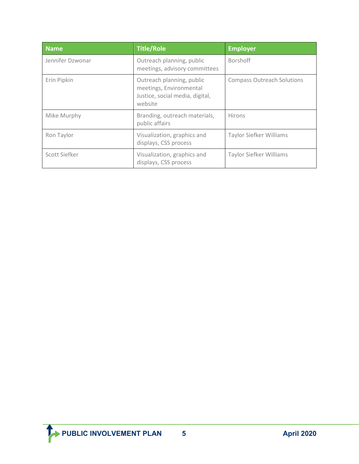| <b>Name</b>      | <b>Title/Role</b>                                                                                  | <b>Employer</b>                   |
|------------------|----------------------------------------------------------------------------------------------------|-----------------------------------|
| Jennifer Dzwonar | Outreach planning, public<br>meetings, advisory committees                                         | <b>Borshoff</b>                   |
| Erin Pipkin      | Outreach planning, public<br>meetings, Environmental<br>Justice, social media, digital,<br>website | <b>Compass Outreach Solutions</b> |
| Mike Murphy      | Branding, outreach materials,<br>public affairs                                                    | <b>Hirons</b>                     |
| Ron Taylor       | Visualization, graphics and<br>displays, CSS process                                               | <b>Taylor Siefker Williams</b>    |
| Scott Siefker    | Visualization, graphics and<br>displays, CSS process                                               | <b>Taylor Siefker Williams</b>    |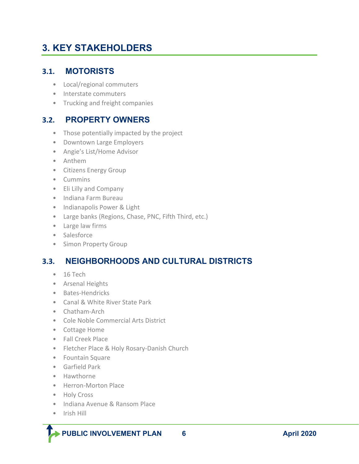# <span id="page-8-0"></span>**3. KEY STAKEHOLDERS**

## <span id="page-8-1"></span>**3.1. MOTORISTS**

- Local/regional commuters
- Interstate commuters
- Trucking and freight companies

## <span id="page-8-2"></span>**3.2. PROPERTY OWNERS**

- Those potentially impacted by the project
- Downtown Large Employers
- Angie's List/Home Advisor
- Anthem
- Citizens Energy Group
- Cummins
- Eli Lilly and Company
- Indiana Farm Bureau
- Indianapolis Power & Light
- Large banks (Regions, Chase, PNC, Fifth Third, etc.)
- Large law firms
- Salesforce
- Simon Property Group

## <span id="page-8-3"></span>**3.3. NEIGHBORHOODS AND CULTURAL DISTRICTS**

- 16 Tech
- Arsenal Heights
- Bates-Hendricks
- Canal & White River State Park
- Chatham-Arch
- Cole Noble Commercial Arts District
- Cottage Home
- Fall Creek Place
- Fletcher Place & Holy Rosary-Danish Church
- Fountain Square
- Garfield Park
- Hawthorne
- Herron-Morton Place
- Holy Cross
- Indiana Avenue & Ransom Place
- Irish Hill

j

 **PUBLIC INVOLVEMENT PLAN** 6 **April 2020**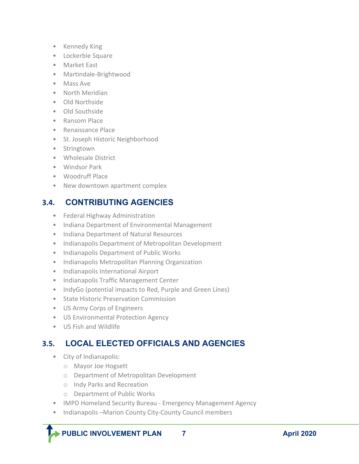- Kennedy King
- Lockerbie Square
- Market East
- Martindale-Brightwood
- Mass Ave
- North Meridian
- Old Northside
- Old Southside
- Ransom Place
- Renaissance Place
- St. Joseph Historic Neighborhood
- Stringtown
- Wholesale District
- Windsor Park
- Woodruff Place
- New downtown apartment complex

## <span id="page-9-0"></span>**3.4. CONTRIBUTING AGENCIES**

- Federal Highway Administration
- Indiana Department of Environmental Management
- Indiana Department of Natural Resources
- Indianapolis Department of Metropolitan Development
- Indianapolis Department of Public Works
- Indianapolis Metropolitan Planning Organization
- Indianapolis International Airport
- Indianapolis Traffic Management Center
- IndyGo (potential impacts to Red, Purple and Green Lines)
- State Historic Preservation Commission
- US Army Corps of Engineers
- US Environmental Protection Agency
- US Fish and Wildlife

## <span id="page-9-1"></span>**3.5. LOCAL ELECTED OFFICIALS AND AGENCIES**

• City of Indianapolis:

j

- o Mayor Joe Hogsett
- o Department of Metropolitan Development
- o Indy Parks and Recreation
- o Department of Public Works
- IMPD Homeland Security Bureau Emergency Management Agency
- Indianapolis –Marion County City-County Council members

**PUBLIC INVOLVEMENT PLAN 7 April 2020**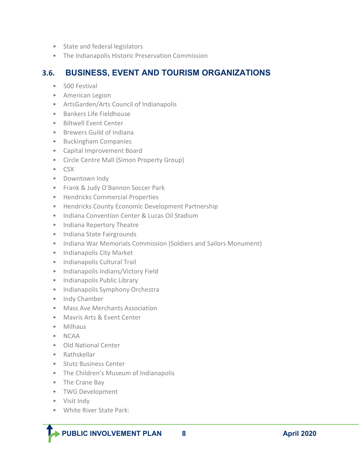- State and federal legislators
- The Indianapolis Historic Preservation Commission

#### <span id="page-10-0"></span>**3.6. BUSINESS, EVENT AND TOURISM ORGANIZATIONS**

- 500 Festival
- American Legion
- ArtsGarden/Arts Council of Indianapolis
- Bankers Life Fieldhouse
- Biltwell Event Center
- Brewers Guild of Indiana
- Buckingham Companies
- Capital Improvement Board
- Circle Centre Mall (Simon Property Group)
- CSX
- Downtown Indy
- Frank & Judy O'Bannon Soccer Park
- Hendricks Commercial Properties
- Hendricks County Economic Development Partnership
- Indiana Convention Center & Lucas Oil Stadium
- Indiana Repertory Theatre
- Indiana State Fairgrounds
- Indiana War Memorials Commission (Soldiers and Sailors Monument)
- Indianapolis City Market
- Indianapolis Cultural Trail
- Indianapolis Indians/Victory Field
- Indianapolis Public Library
- Indianapolis Symphony Orchestra
- Indy Chamber
- Mass Ave Merchants Association
- Mavris Arts & Event Center
- Milhaus
- NCAA
- Old National Center
- Rathskellar
- Stutz Business Center
- The Children's Museum of Indianapolis
- The Crane Bay
- TWG Development
- Visit Indy

j

• White River State Park:

**PUBLIC INVOLVEMENT PLAN** 8 **April 2020**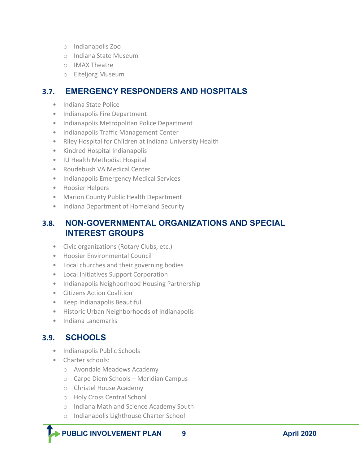- o Indianapolis Zoo
- o Indiana State Museum
- o IMAX Theatre
- o Eiteljorg Museum

## <span id="page-11-0"></span>**3.7. EMERGENCY RESPONDERS AND HOSPITALS**

- Indiana State Police
- Indianapolis Fire Department
- Indianapolis Metropolitan Police Department
- Indianapolis Traffic Management Center
- Riley Hospital for Children at Indiana University Health
- Kindred Hospital Indianapolis
- IU Health Methodist Hospital
- Roudebush VA Medical Center
- Indianapolis Emergency Medical Services
- Hoosier Helpers
- Marion County Public Health Department
- Indiana Department of Homeland Security

## <span id="page-11-1"></span>**3.8. NON-GOVERNMENTAL ORGANIZATIONS AND SPECIAL INTEREST GROUPS**

- Civic organizations (Rotary Clubs, etc.)
- Hoosier Environmental Council
- Local churches and their governing bodies
- Local Initiatives Support Corporation
- Indianapolis Neighborhood Housing Partnership
- Citizens Action Coalition
- Keep Indianapolis Beautiful
- Historic Urban Neighborhoods of Indianapolis
- Indiana Landmarks

## <span id="page-11-2"></span>**3.9. SCHOOLS**

j

- Indianapolis Public Schools
- Charter schools:
	- o Avondale Meadows Academy
	- o Carpe Diem Schools Meridian Campus
	- o Christel House Academy
	- o Holy Cross Central School
	- o Indiana Math and Science Academy South
	- o Indianapolis Lighthouse Charter School

**PUBLIC INVOLVEMENT PLAN** 9 **April 2020**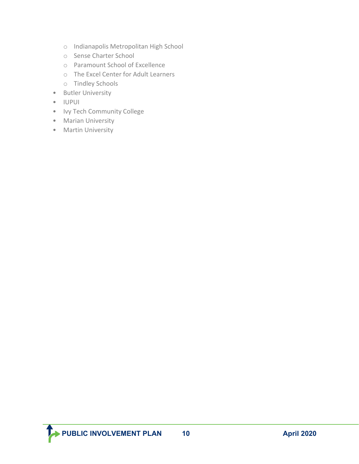- o Indianapolis Metropolitan High School
- o Sense Charter School
- o Paramount School of Excellence
- o The Excel Center for Adult Learners
- o Tindley Schools
- Butler University
- IUPUI
- Ivy Tech Community College
- Marian University
- Martin University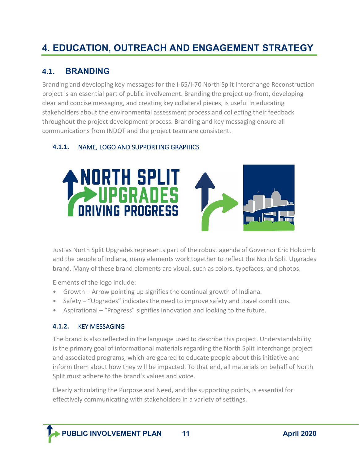# <span id="page-13-0"></span>**4. EDUCATION, OUTREACH AND ENGAGEMENT STRATEGY**

## <span id="page-13-1"></span>**4.1. BRANDING**

Branding and developing key messages for the I-65/I-70 North Split Interchange Reconstruction project is an essential part of public involvement. Branding the project up-front, developing clear and concise messaging, and creating key collateral pieces, is useful in educating stakeholders about the environmental assessment process and collecting their feedback throughout the project development process. Branding and key messaging ensure all communications from INDOT and the project team are consistent.

#### **4.1.1.** NAME, LOGO AND SUPPORTING GRAPHICS





Just as North Split Upgrades represents part of the robust agenda of Governor Eric Holcomb and the people of Indiana, many elements work together to reflect the North Split Upgrades brand. Many of these brand elements are visual, such as colors, typefaces, and photos.

Elements of the logo include:

- Growth Arrow pointing up signifies the continual growth of Indiana.
- Safety "Upgrades" indicates the need to improve safety and travel conditions.
- Aspirational "Progress" signifies innovation and looking to the future.

#### **4.1.2.** KEY MESSAGING

j

The brand is also reflected in the language used to describe this project. Understandability is the primary goal of informational materials regarding the North Split Interchange project and associated programs, which are geared to educate people about this initiative and inform them about how they will be impacted. To that end, all materials on behalf of North Split must adhere to the brand's values and voice.

Clearly articulating the Purpose and Need, and the supporting points, is essential for effectively communicating with stakeholders in a variety of settings.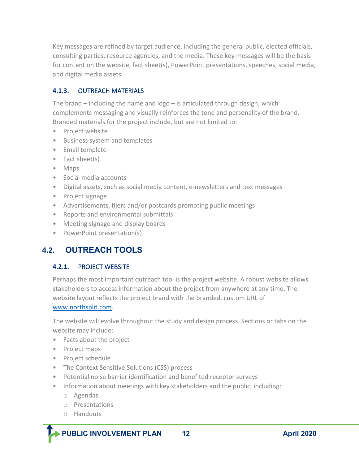Key messages are refined by target audience, including the general public, elected officials, consulting parties, resource agencies, and the media. These key messages will be the basis for content on the website, fact sheet(s), PowerPoint presentations, speeches, social media, and digital media assets.

#### **4.1.3.** OUTREACH MATERIALS

The brand – including the name and logo – is articulated through design, which complements messaging and visually reinforces the tone and personality of the brand. Branded materials for the project include, but are not limited to:

- Project website
- Business system and templates
- Email template
- Fact sheet(s)
- Maps
- Social media accounts
- Digital assets, such as social media content, e-newsletters and text messages
- Project signage
- Advertisements, fliers and/or postcards promoting public meetings
- Reports and environmental submittals
- Meeting signage and display boards
- PowerPoint presentation(s)

## <span id="page-14-0"></span>**4.2. OUTREACH TOOLS**

#### **4.2.1.** PROJECT WEBSITE

Perhaps the most important outreach tool is the project website. A robust website allows stakeholders to access information about the project from anywhere at any time. The website layout reflects the project brand with the branded, custom URL of

#### [www.northsplit.com.](http://www.northsplit.com/)

The website will evolve throughout the study and design process. Sections or tabs on the website may include:

- Facts about the project
- Project maps
- Project schedule
- The Context Sensitive Solutions (CSS) process
- Potential noise barrier identification and benefited receptor surveys
- Information about meetings with key stakeholders and the public, including:
	- o Agendas
	- o Presentations
	- o Handouts

j

**PUBLIC INVOLVEMENT PLAN 12 April 2020** 

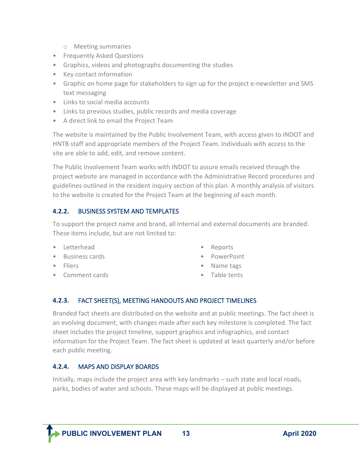- o Meeting summaries
- Frequently Asked Questions
- Graphics, videos and photographs documenting the studies
- Key contact information
- Graphic on home page for stakeholders to sign up for the project e-newsletter and SMS text messaging
- Links to social media accounts
- Links to previous studies, public records and media coverage
- A direct link to email the Project Team

The website is maintained by the Public Involvement Team, with access given to INDOT and HNTB staff and appropriate members of the Project Team. Individuals with access to the site are able to add, edit, and remove content.

The Public Involvement Team works with INDOT to assure emails received through the project website are managed in accordance with the Administrative Record procedures and guidelines outlined in the resident inquiry section of this plan. A monthly analysis of visitors to the website is created for the Project Team at the beginning of each month.

#### **4.2.2.** BUSINESS SYSTEM AND TEMPLATES

To support the project name and brand, all internal and external documents are branded. These items include, but are not limited to:

- Letterhead
- Business cards
- Fliers

j

• Comment cards

- Reports
- PowerPoint
- Name tags
- Table tents

#### **4.2.3.** FACT SHEET(S), MEETING HANDOUTS AND PROJECT TIMELINES

Branded fact sheets are distributed on the website and at public meetings. The fact sheet is an evolving document, with changes made after each key milestone is completed. The fact sheet includes the project timeline, support graphics and infographics, and contact information for the Project Team. The fact sheet is updated at least quarterly and/or before each public meeting.

#### **4.2.4.** MAPS AND DISPLAY BOARDS

Initially, maps include the project area with key landmarks – such state and local roads, parks, bodies of water and schools. These maps will be displayed at public meetings.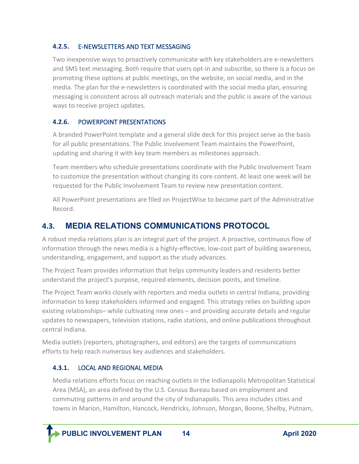#### **4.2.5.** E-NEWSLETTERS AND TEXT MESSAGING

Two inexpensive ways to proactively communicate with key stakeholders are e-newsletters and SMS text messaging. Both require that users opt-in and subscribe, so there is a focus on promoting these options at public meetings, on the website, on social media, and in the media. The plan for the e-newsletters is coordinated with the social media plan, ensuring messaging is consistent across all outreach materials and the public is aware of the various ways to receive project updates.

#### **4.2.6.** POWERPOINT PRESENTATIONS

A branded PowerPoint template and a general slide deck for this project serve as the basis for all public presentations. The Public Involvement Team maintains the PowerPoint, updating and sharing it with key team members as milestones approach.

Team members who schedule presentations coordinate with the Public Involvement Team to customize the presentation without changing its core content. At least one week will be requested for the Public Involvement Team to review new presentation content.

All PowerPoint presentations are filed on ProjectWise to become part of the Administrative Record.

## <span id="page-16-0"></span>**4.3. MEDIA RELATIONS COMMUNICATIONS PROTOCOL**

A robust media relations plan is an integral part of the project. A proactive, continuous flow of information through the news media is a highly-effective, low-cost part of building awareness, understanding, engagement, and support as the study advances.

The Project Team provides information that helps community leaders and residents better understand the project's purpose, required elements, decision points, and timeline.

The Project Team works closely with reporters and media outlets in central Indiana, providing information to keep stakeholders informed and engaged. This strategy relies on building upon existing relationships– while cultivating new ones – and providing accurate details and regular updates to newspapers, television stations, radio stations, and online publications throughout central Indiana.

Media outlets (reporters, photographers, and editors) are the targets of communications efforts to help reach numerous key audiences and stakeholders.

#### **4.3.1.** LOCAL AND REGIONAL MEDIA

Media relations efforts focus on reaching outlets in the Indianapolis Metropolitan Statistical Area (MSA), an area defined by the U.S. Census Bureau based on employment and commuting patterns in and around the city of Indianapolis. This area includes cities and towns in Marion, Hamilton, Hancock, Hendricks, Johnson, Morgan, Boone, Shelby, Putnam,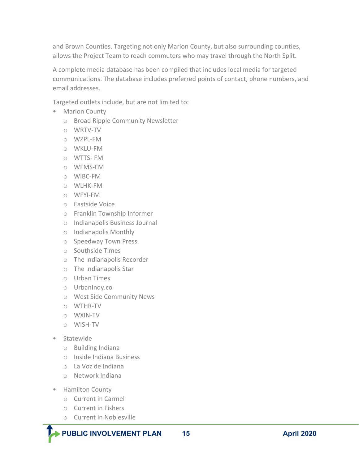and Brown Counties. Targeting not only Marion County, but also surrounding counties, allows the Project Team to reach commuters who may travel through the North Split.

A complete media database has been compiled that includes local media for targeted communications. The database includes preferred points of contact, phone numbers, and email addresses.

Targeted outlets include, but are not limited to:

- Marion County
	- o Broad Ripple Community Newsletter
	- o WRTV-TV
	- o WZPL-FM
	- o WKLU-FM
	- o WTTS- FM
	- o WFMS-FM
	- o WIBC-FM
	- o WLHK-FM
	- o WFYI-FM
	- o Eastside Voice
	- o Franklin Township Informer
	- o Indianapolis Business Journal
	- o Indianapolis Monthly
	- o Speedway Town Press
	- o Southside Times
	- o The Indianapolis Recorder
	- o The Indianapolis Star
	- o Urban Times
	- o UrbanIndy.co
	- o West Side Community News
	- o WTHR-TV
	- o WXIN-TV
	- o WISH-TV
- Statewide
	- o Building Indiana
	- o Inside Indiana Business
	- o La Voz de Indiana
	- o Network Indiana
- Hamilton County

j

- o Current in Carmel
- o Current in Fishers
- o Current in Noblesville

**PUBLIC INVOLVEMENT PLAN 15 April 2020**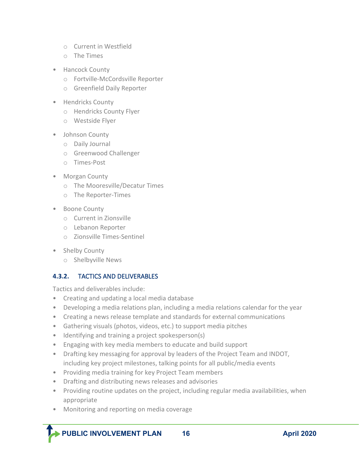- o Current in Westfield
- o The Times
- Hancock County
	- o Fortville-McCordsville Reporter
	- o Greenfield Daily Reporter
- Hendricks County
	- o Hendricks County Flyer
	- o Westside Flyer
- Johnson County
	- o Daily Journal
	- o Greenwood Challenger
	- o Times-Post
- Morgan County
	- o The Mooresville/Decatur Times
	- o The Reporter-Times
- Boone County
	- o Current in Zionsville
	- o Lebanon Reporter
	- o Zionsville Times-Sentinel
- Shelby County

j

o Shelbyville News

#### **4.3.2.** TACTICS AND DELIVERABLES

Tactics and deliverables include:

- Creating and updating a local media database
- Developing a media relations plan, including a media relations calendar for the year
- Creating a news release template and standards for external communications
- Gathering visuals (photos, videos, etc.) to support media pitches
- Identifying and training a project spokesperson(s)
- Engaging with key media members to educate and build support
- Drafting key messaging for approval by leaders of the Project Team and INDOT, including key project milestones, talking points for all public/media events
- Providing media training for key Project Team members
- Drafting and distributing news releases and advisories
- Providing routine updates on the project, including regular media availabilities, when appropriate
- Monitoring and reporting on media coverage

 **PUBLIC INVOLVEMENT PLAN 16 April 2020**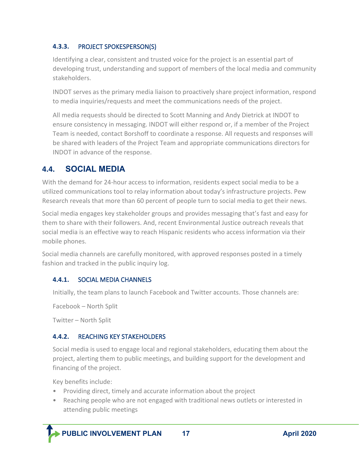#### **4.3.3.** PROJECT SPOKESPERSON(S)

Identifying a clear, consistent and trusted voice for the project is an essential part of developing trust, understanding and support of members of the local media and community stakeholders.

INDOT serves as the primary media liaison to proactively share project information, respond to media inquiries/requests and meet the communications needs of the project.

All media requests should be directed to Scott Manning and Andy Dietrick at INDOT to ensure consistency in messaging. INDOT will either respond or, if a member of the Project Team is needed, contact Borshoff to coordinate a response. All requests and responses will be shared with leaders of the Project Team and appropriate communications directors for INDOT in advance of the response.

## <span id="page-19-0"></span>**4.4. SOCIAL MEDIA**

With the demand for 24-hour access to information, residents expect social media to be a utilized communications tool to relay information about today's infrastructure projects. Pew Research reveals that more than 60 percent of people turn to social media to get their news.

Social media engages key stakeholder groups and provides messaging that's fast and easy for them to share with their followers. And, recent Environmental Justice outreach reveals that social media is an effective way to reach Hispanic residents who access information via their mobile phones.

Social media channels are carefully monitored, with approved responses posted in a timely fashion and tracked in the public inquiry log.

#### **4.4.1.** SOCIAL MEDIA CHANNELS

Initially, the team plans to launch Facebook and Twitter accounts. Those channels are:

Facebook – North Split

Twitter – North Split

#### **4.4.2.** REACHING KEY STAKEHOLDERS

Social media is used to engage local and regional stakeholders, educating them about the project, alerting them to public meetings, and building support for the development and financing of the project.

Key benefits include:

- Providing direct, timely and accurate information about the project
- Reaching people who are not engaged with traditional news outlets or interested in attending public meetings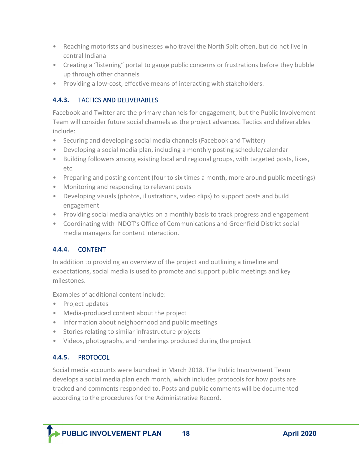- Reaching motorists and businesses who travel the North Split often, but do not live in central Indiana
- Creating a "listening" portal to gauge public concerns or frustrations before they bubble up through other channels
- Providing a low-cost, effective means of interacting with stakeholders.

#### **4.4.3.** TACTICS AND DELIVERABLES

Facebook and Twitter are the primary channels for engagement, but the Public Involvement Team will consider future social channels as the project advances. Tactics and deliverables include:

- Securing and developing social media channels (Facebook and Twitter)
- Developing a social media plan, including a monthly posting schedule/calendar
- Building followers among existing local and regional groups, with targeted posts, likes, etc.
- Preparing and posting content (four to six times a month, more around public meetings)
- Monitoring and responding to relevant posts
- Developing visuals (photos, illustrations, video clips) to support posts and build engagement
- Providing social media analytics on a monthly basis to track progress and engagement
- Coordinating with INDOT's Office of Communications and Greenfield District social media managers for content interaction.

#### **4.4.4.** CONTENT

In addition to providing an overview of the project and outlining a timeline and expectations, social media is used to promote and support public meetings and key milestones.

Examples of additional content include:

- Project updates
- Media-produced content about the project
- Information about neighborhood and public meetings
- Stories relating to similar infrastructure projects
- Videos, photographs, and renderings produced during the project

#### **4.4.5.** PROTOCOL

j

Social media accounts were launched in March 2018. The Public Involvement Team develops a social media plan each month, which includes protocols for how posts are tracked and comments responded to. Posts and public comments will be documented according to the procedures for the Administrative Record.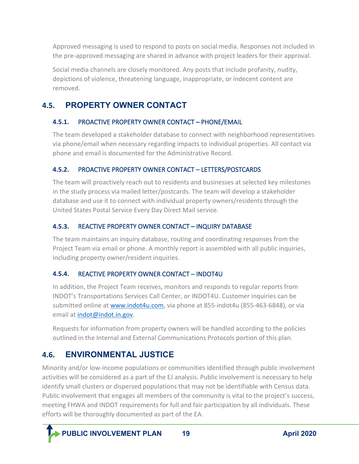Approved messaging is used to respond to posts on social media. Responses not included in the pre-approved messaging are shared in advance with project leaders for their approval.

Social media channels are closely monitored. Any posts that include profanity, nudity, depictions of violence, threatening language, inappropriate, or indecent content are removed.

## <span id="page-21-0"></span>**4.5. PROPERTY OWNER CONTACT**

#### **4.5.1.** PROACTIVE PROPERTY OWNER CONTACT – PHONE/EMAIL

The team developed a stakeholder database to connect with neighborhood representatives via phone/email when necessary regarding impacts to individual properties. All contact via phone and email is documented for the Administrative Record.

#### **4.5.2.** PROACTIVE PROPERTY OWNER CONTACT – LETTERS/POSTCARDS

The team will proactively reach out to residents and businesses at selected key milestones in the study process via mailed letter/postcards. The team will develop a stakeholder database and use it to connect with individual property owners/residents through the United States Postal Service Every Day Direct Mail service.

#### **4.5.3.** REACTIVE PROPERTY OWNER CONTACT – INQUIRY DATABASE

The team maintains an inquiry database, routing and coordinating responses from the Project Team via email or phone. A monthly report is assembled with all public inquiries, including property owner/resident inquiries.

#### **4.5.4.** REACTIVE PROPERTY OWNER CONTACT – INDOT4U

In addition, the Project Team receives, monitors and responds to regular reports from INDOT's Transportations Services Call Center, or INDOT4U. Customer inquiries can be submitted online at [www.indot4u.com,](http://www.indot4u.com/) via phone at 855-indot4u (855-463-6848), or via email at [indot@indot.in.gov.](mailto:indot@indot.in.gov)

Requests for information from property owners will be handled according to the policies outlined in the Internal and External Communications Protocols portion of this plan.

## <span id="page-21-1"></span>**4.6. ENVIRONMENTAL JUSTICE**

Minority and/or low-income populations or communities identified through public involvement activities will be considered as a part of the EJ analysis. Public involvement is necessary to help identify small clusters or dispersed populations that may not be identifiable with Census data. Public involvement that engages all members of the community is vital to the project's success, meeting FHWA and INDOT requirements for full and fair participation by all individuals. These efforts will be thoroughly documented as part of the EA.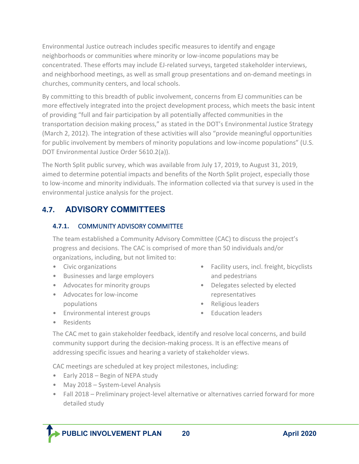Environmental Justice outreach includes specific measures to identify and engage neighborhoods or communities where minority or low-income populations may be concentrated. These efforts may include EJ-related surveys, targeted stakeholder interviews, and neighborhood meetings, as well as small group presentations and on-demand meetings in churches, community centers, and local schools.

By committing to this breadth of public involvement, concerns from EJ communities can be more effectively integrated into the project development process, which meets the basic intent of providing "full and fair participation by all potentially affected communities in the transportation decision making process," as stated in the DOT's Environmental Justice Strategy (March 2, 2012). The integration of these activities will also "provide meaningful opportunities for public involvement by members of minority populations and low-income populations" (U.S. DOT Environmental Justice Order 5610.2(a)).

The North Split public survey, which was available from July 17, 2019, to August 31, 2019, aimed to determine potential impacts and benefits of the North Split project, especially those to low-income and minority individuals. The information collected via that survey is used in the environmental justice analysis for the project.

## <span id="page-22-0"></span>**4.7. ADVISORY COMMITTEES**

#### **4.7.1.** COMMUNITY ADVISORY COMMITTEE

The team established a Community Advisory Committee (CAC) to discuss the project's progress and decisions. The CAC is comprised of more than 50 individuals and/or organizations, including, but not limited to:

- Civic organizations
- Businesses and large employers
- Advocates for minority groups
- Advocates for low-income populations
- Environmental interest groups

and pedestrians • Delegates selected by elected representatives

• Facility users, incl. freight, bicyclists

- Religious leaders
- Education leaders

• Residents

j

The CAC met to gain stakeholder feedback, identify and resolve local concerns, and build community support during the decision-making process. It is an effective means of addressing specific issues and hearing a variety of stakeholder views.

CAC meetings are scheduled at key project milestones, including:

- Early 2018 Begin of NEPA study
- May 2018 System-Level Analysis
- Fall 2018 Preliminary project-level alternative or alternatives carried forward for more detailed study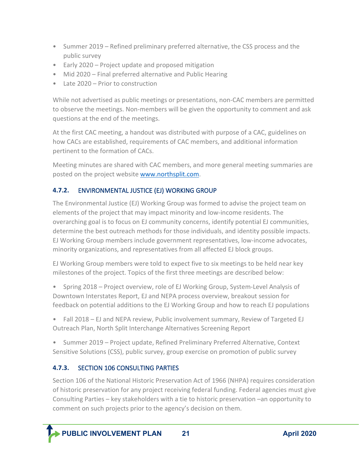- Summer 2019 Refined preliminary preferred alternative, the CSS process and the public survey
- Early 2020 Project update and proposed mitigation
- Mid 2020 Final preferred alternative and Public Hearing
- Late 2020 Prior to construction

While not advertised as public meetings or presentations, non-CAC members are permitted to observe the meetings. Non-members will be given the opportunity to comment and ask questions at the end of the meetings.

At the first CAC meeting, a handout was distributed with purpose of a CAC, guidelines on how CACs are established, requirements of CAC members, and additional information pertinent to the formation of CACs.

Meeting minutes are shared with CAC members, and more general meeting summaries are posted on the project website [www.northsplit.com.](http://www.northsplit.com/)

#### **4.7.2.** ENVIRONMENTAL JUSTICE (EJ) WORKING GROUP

The Environmental Justice (EJ) Working Group was formed to advise the project team on elements of the project that may impact minority and low-income residents. The overarching goal is to focus on EJ community concerns, identify potential EJ communities, determine the best outreach methods for those individuals, and identity possible impacts. EJ Working Group members include government representatives, low-income advocates, minority organizations, and representatives from all affected EJ block groups.

EJ Working Group members were told to expect five to six meetings to be held near key milestones of the project. Topics of the first three meetings are described below:

• Spring 2018 – Project overview, role of EJ Working Group, System-Level Analysis of Downtown Interstates Report, EJ and NEPA process overview, breakout session for feedback on potential additions to the EJ Working Group and how to reach EJ populations

• Fall 2018 – EJ and NEPA review, Public involvement summary, Review of Targeted EJ Outreach Plan, North Split Interchange Alternatives Screening Report

• Summer 2019 – Project update, Refined Preliminary Preferred Alternative, Context Sensitive Solutions (CSS), public survey, group exercise on promotion of public survey

#### **4.7.3.** SECTION 106 CONSULTING PARTIES

Section 106 of the National Historic Preservation Act of 1966 (NHPA) requires consideration of historic preservation for any project receiving federal funding. Federal agencies must give Consulting Parties – key stakeholders with a tie to historic preservation –an opportunity to comment on such projects prior to the agency's decision on them.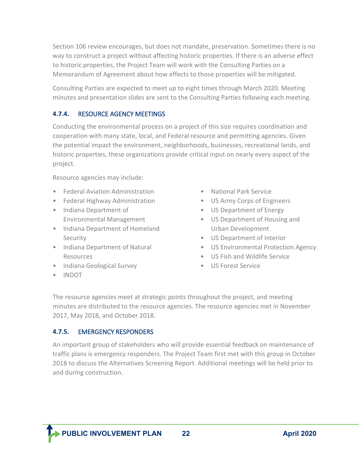Section 106 review encourages, but does not mandate, preservation. Sometimes there is no way to construct a project without affecting historic properties. If there is an adverse effect to historic properties, the Project Team will work with the Consulting Parties on a Memorandum of Agreement about how effects to those properties will be mitigated.

Consulting Parties are expected to meet up to eight times through March 2020. Meeting minutes and presentation slides are sent to the Consulting Parties following each meeting.

#### **4.7.4.** RESOURCE AGENCY MEETINGS

Conducting the environmental process on a project of this size requires coordination and cooperation with many state, local, and Federal resource and permitting agencies. Given the potential impact the environment, neighborhoods, businesses, recreational lands, and historic properties, these organizations provide critical input on nearly every aspect of the project.

Resource agencies may include:

- Federal Aviation Administration
- Federal Highway Administration
- Indiana Department of Environmental Management
- Indiana Department of Homeland **Security**
- Indiana Department of Natural Resources
- Indiana Geological Survey
- National Park Service
- US Army Corps of Engineers
- US Department of Energy
- US Department of Housing and Urban Development
- US Department of Interior
- US Environmental Protection Agency
- US Fish and Wildlife Service
- US Forest Service

• INDOT

j

The resource agencies meet at strategic points throughout the project, and meeting minutes are distributed to the resource agencies. The resource agencies met in November 2017, May 2018, and October 2018.

#### **4.7.5.** EMERGENCY RESPONDERS

An important group of stakeholders who will provide essential feedback on maintenance of traffic plans is emergency responders. The Project Team first met with this group in October 2018 to discuss the Alternatives Screening Report. Additional meetings will be held prior to and during construction.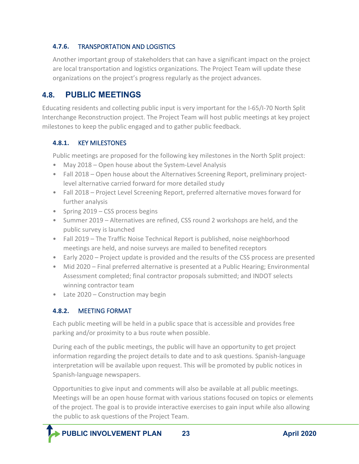#### **4.7.6.** TRANSPORTATION AND LOGISTICS

Another important group of stakeholders that can have a significant impact on the project are local transportation and logistics organizations. The Project Team will update these organizations on the project's progress regularly as the project advances.

## <span id="page-25-0"></span>**4.8. PUBLIC MEETINGS**

Educating residents and collecting public input is very important for the I-65/I-70 North Split Interchange Reconstruction project. The Project Team will host public meetings at key project milestones to keep the public engaged and to gather public feedback.

#### **4.8.1.** KEY MILESTONES

Public meetings are proposed for the following key milestones in the North Split project:

- May 2018 Open house about the System-Level Analysis
- Fall 2018 Open house about the Alternatives Screening Report, preliminary projectlevel alternative carried forward for more detailed study
- Fall 2018 Project Level Screening Report, preferred alternative moves forward for further analysis
- Spring 2019 CSS process begins
- Summer 2019 Alternatives are refined, CSS round 2 workshops are held, and the public survey is launched
- Fall 2019 The Traffic Noise Technical Report is published, noise neighborhood meetings are held, and noise surveys are mailed to benefited receptors
- Early 2020 Project update is provided and the results of the CSS process are presented
- Mid 2020 Final preferred alternative is presented at a Public Hearing; Environmental Assessment completed; final contractor proposals submitted; and INDOT selects winning contractor team
- Late 2020 Construction may begin

#### **4.8.2.** MEETING FORMAT

j

Each public meeting will be held in a public space that is accessible and provides free parking and/or proximity to a bus route when possible.

During each of the public meetings, the public will have an opportunity to get project information regarding the project details to date and to ask questions. Spanish-language interpretation will be available upon request. This will be promoted by public notices in Spanish-language newspapers.

Opportunities to give input and comments will also be available at all public meetings. Meetings will be an open house format with various stations focused on topics or elements of the project. The goal is to provide interactive exercises to gain input while also allowing the public to ask questions of the Project Team.

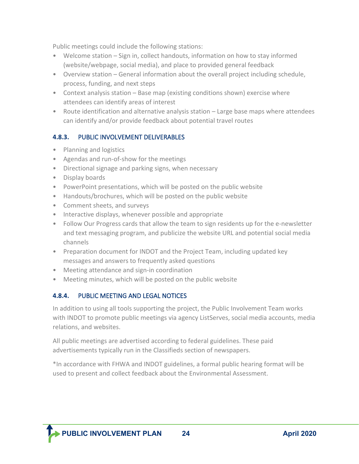Public meetings could include the following stations:

- Welcome station Sign in, collect handouts, information on how to stay informed (website/webpage, social media), and place to provided general feedback
- Overview station General information about the overall project including schedule, process, funding, and next steps
- Context analysis station Base map (existing conditions shown) exercise where attendees can identify areas of interest
- Route identification and alternative analysis station Large base maps where attendees can identify and/or provide feedback about potential travel routes

#### **4.8.3.** PUBLIC INVOLVEMENT DELIVERABLES

- Planning and logistics
- Agendas and run-of-show for the meetings
- Directional signage and parking signs, when necessary
- Display boards
- PowerPoint presentations, which will be posted on the public website
- Handouts/brochures, which will be posted on the public website
- Comment sheets, and surveys
- Interactive displays, whenever possible and appropriate
- Follow Our Progress cards that allow the team to sign residents up for the e-newsletter and text messaging program, and publicize the website URL and potential social media channels
- Preparation document for INDOT and the Project Team, including updated key messages and answers to frequently asked questions
- Meeting attendance and sign-in coordination
- Meeting minutes, which will be posted on the public website

#### **4.8.4.** PUBLIC MEETING AND LEGAL NOTICES

In addition to using all tools supporting the project, the Public Involvement Team works with INDOT to promote public meetings via agency ListServes, social media accounts, media relations, and websites.

All public meetings are advertised according to federal guidelines. These paid advertisements typically run in the Classifieds section of newspapers.

\*In accordance with FHWA and INDOT guidelines, a formal public hearing format will be used to present and collect feedback about the Environmental Assessment.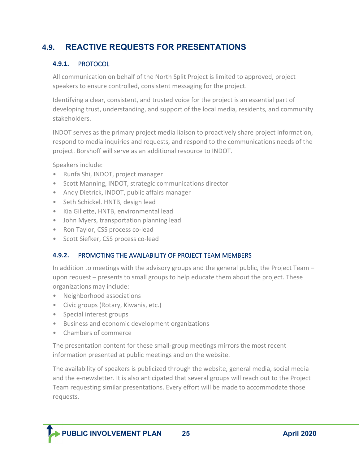## <span id="page-27-0"></span>**4.9. REACTIVE REQUESTS FOR PRESENTATIONS**

#### **4.9.1.** PROTOCOL

All communication on behalf of the North Split Project is limited to approved, project speakers to ensure controlled, consistent messaging for the project.

Identifying a clear, consistent, and trusted voice for the project is an essential part of developing trust, understanding, and support of the local media, residents, and community stakeholders.

INDOT serves as the primary project media liaison to proactively share project information, respond to media inquiries and requests, and respond to the communications needs of the project. Borshoff will serve as an additional resource to INDOT.

Speakers include:

- Runfa Shi, INDOT, project manager
- Scott Manning, INDOT, strategic communications director
- Andy Dietrick, INDOT, public affairs manager
- Seth Schickel. HNTB, design lead
- Kia Gillette, HNTB, environmental lead
- John Myers, transportation planning lead
- Ron Taylor, CSS process co-lead
- Scott Siefker, CSS process co-lead

#### **4.9.2.** PROMOTING THE AVAILABILITY OF PROJECT TEAM MEMBERS

In addition to meetings with the advisory groups and the general public, the Project Team – upon request – presents to small groups to help educate them about the project. These organizations may include:

- Neighborhood associations
- Civic groups (Rotary, Kiwanis, etc.)
- Special interest groups
- Business and economic development organizations
- Chambers of commerce

j

The presentation content for these small-group meetings mirrors the most recent information presented at public meetings and on the website.

The availability of speakers is publicized through the website, general media, social media and the e-newsletter. It is also anticipated that several groups will reach out to the Project Team requesting similar presentations. Every effort will be made to accommodate those requests.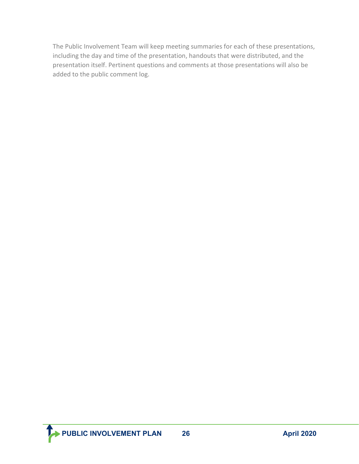The Public Involvement Team will keep meeting summaries for each of these presentations, including the day and time of the presentation, handouts that were distributed, and the presentation itself. Pertinent questions and comments at those presentations will also be added to the public comment log.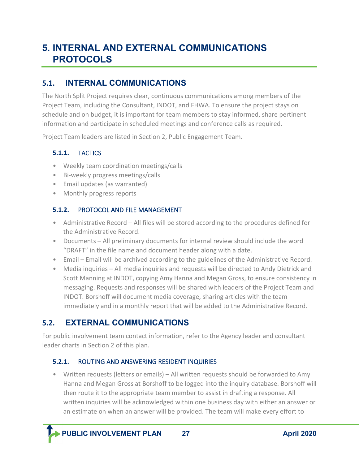# <span id="page-29-0"></span>**5. INTERNAL AND EXTERNAL COMMUNICATIONS PROTOCOLS**

## <span id="page-29-1"></span>**5.1. INTERNAL COMMUNICATIONS**

The North Split Project requires clear, continuous communications among members of the Project Team, including the Consultant, INDOT, and FHWA. To ensure the project stays on schedule and on budget, it is important for team members to stay informed, share pertinent information and participate in scheduled meetings and conference calls as required.

Project Team leaders are listed in Section 2, Public Engagement Team.

#### **5.1.1.** TACTICS

- Weekly team coordination meetings/calls
- Bi-weekly progress meetings/calls
- Email updates (as warranted)
- Monthly progress reports

#### **5.1.2.** PROTOCOL AND FILE MANAGEMENT

- Administrative Record All files will be stored according to the procedures defined for the Administrative Record.
- Documents All preliminary documents for internal review should include the word "DRAFT" in the file name and document header along with a date.
- Email Email will be archived according to the guidelines of the Administrative Record.
- Media inquiries All media inquiries and requests will be directed to Andy Dietrick and Scott Manning at INDOT, copying Amy Hanna and Megan Gross, to ensure consistency in messaging. Requests and responses will be shared with leaders of the Project Team and INDOT. Borshoff will document media coverage, sharing articles with the team immediately and in a monthly report that will be added to the Administrative Record.

## <span id="page-29-2"></span>**5.2. EXTERNAL COMMUNICATIONS**

For public involvement team contact information, refer to the Agency leader and consultant leader charts in Section 2 of this plan.

#### **5.2.1.** ROUTING AND ANSWERING RESIDENT INQUIRIES

• Written requests (letters or emails) – All written requests should be forwarded to Amy Hanna and Megan Gross at Borshoff to be logged into the inquiry database. Borshoff will then route it to the appropriate team member to assist in drafting a response. All written inquiries will be acknowledged within one business day with either an answer or an estimate on when an answer will be provided. The team will make every effort to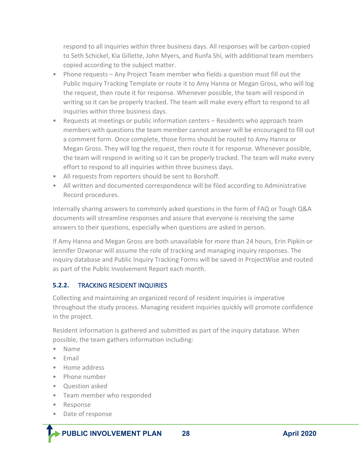respond to all inquiries within three business days. All responses will be carbon-copied to Seth Schickel, Kia Gillette, John Myers, and Runfa Shi, with additional team members copied according to the subject matter.

- Phone requests Any Project Team member who fields a question must fill out the Public Inquiry Tracking Template or route it to Amy Hanna or Megan Gross, who will log the request, then route it for response. Whenever possible, the team will respond in writing so it can be properly tracked. The team will make every effort to respond to all inquiries within three business days.
- Requests at meetings or public information centers Residents who approach team members with questions the team member cannot answer will be encouraged to fill out a comment form. Once complete, those forms should be routed to Amy Hanna or Megan Gross. They will log the request, then route it for response. Whenever possible, the team will respond in writing so it can be properly tracked. The team will make every effort to respond to all inquiries within three business days.
- All requests from reporters should be sent to Borshoff.
- All written and documented correspondence will be filed according to Administrative Record procedures.

Internally sharing answers to commonly asked questions in the form of FAQ or Tough Q&A documents will streamline responses and assure that everyone is receiving the same answers to their questions, especially when questions are asked in person.

If Amy Hanna and Megan Gross are both unavailable for more than 24 hours, Erin Pipkin or Jennifer Dzwonar will assume the role of tracking and managing inquiry responses. The inquiry database and Public Inquiry Tracking Forms will be saved in ProjectWise and routed as part of the Public Involvement Report each month.

#### **5.2.2.** TRACKING RESIDENT INQUIRIES

Collecting and maintaining an organized record of resident inquiries is imperative throughout the study process. Managing resident inquiries quickly will promote confidence in the project.

Resident information is gathered and submitted as part of the inquiry database. When possible, the team gathers information including:

- Name
- Email
- Home address
- Phone number
- Question asked
- Team member who responded
- Response

j

• Date of response

**PUBLIC INVOLVEMENT PLAN** 28 **April 2020**